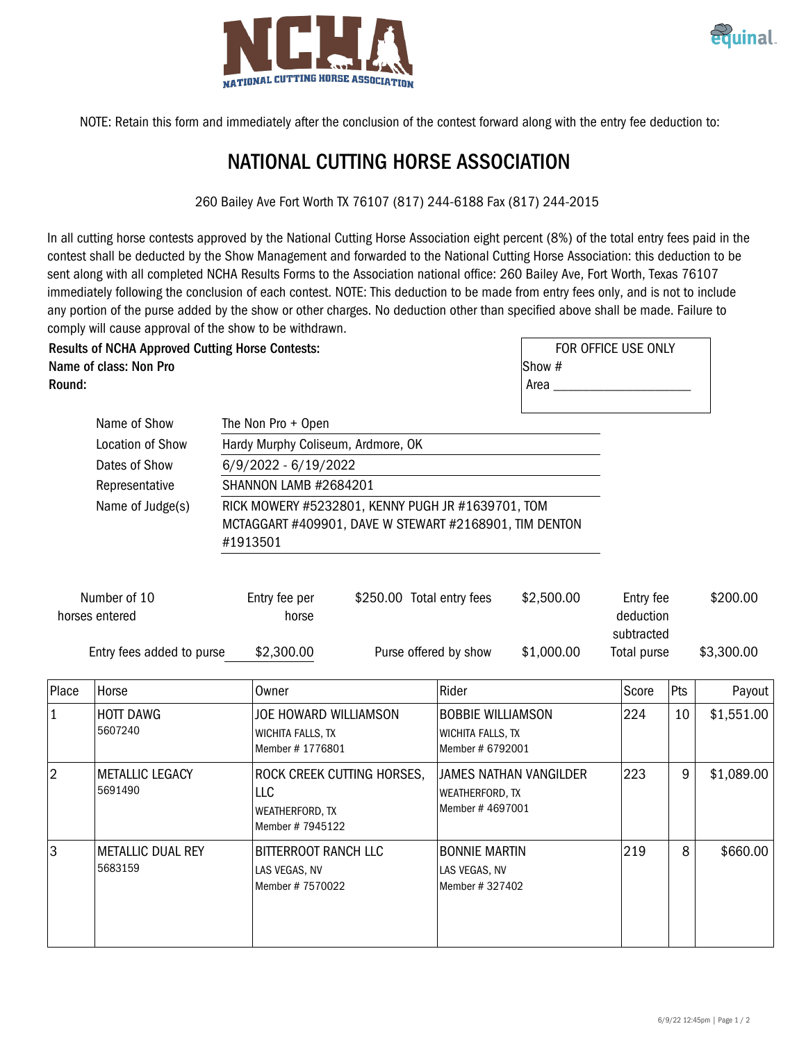



NOTE: Retain this form and immediately after the conclusion of the contest forward along with the entry fee deduction to:

## NATIONAL CUTTING HORSE ASSOCIATION

260 Bailey Ave Fort Worth TX 76107 (817) 244-6188 Fax (817) 244-2015

In all cutting horse contests approved by the National Cutting Horse Association eight percent (8%) of the total entry fees paid in the contest shall be deducted by the Show Management and forwarded to the National Cutting Horse Association: this deduction to be sent along with all completed NCHA Results Forms to the Association national office: 260 Bailey Ave, Fort Worth, Texas 76107 immediately following the conclusion of each contest. NOTE: This deduction to be made from entry fees only, and is not to include any portion of the purse added by the show or other charges. No deduction other than specified above shall be made. Failure to comply will cause approval of the show to be withdrawn.

Results of NCHA Approved Cutting Horse Contests: Name of class: Non Pro Round:

|        | FOR OFFICE USE ONLY |
|--------|---------------------|
| Show # |                     |
| Area   |                     |
|        |                     |

| Name of Show<br>The Non Pro + Open                                                                                      |                                                                    |                                                                         |                                         |                                                                   |                        |                           |          |            |
|-------------------------------------------------------------------------------------------------------------------------|--------------------------------------------------------------------|-------------------------------------------------------------------------|-----------------------------------------|-------------------------------------------------------------------|------------------------|---------------------------|----------|------------|
| Location of Show<br>Hardy Murphy Coliseum, Ardmore, OK                                                                  |                                                                    |                                                                         |                                         |                                                                   |                        |                           |          |            |
| Dates of Show<br>$6/9/2022 - 6/19/2022$                                                                                 |                                                                    |                                                                         |                                         |                                                                   |                        |                           |          |            |
| <b>SHANNON LAMB #2684201</b><br>Representative<br>Name of Judge(s)<br>RICK MOWERY #5232801, KENNY PUGH JR #1639701, TOM |                                                                    |                                                                         |                                         |                                                                   |                        |                           |          |            |
|                                                                                                                         |                                                                    |                                                                         |                                         |                                                                   |                        |                           |          |            |
|                                                                                                                         | MCTAGGART #409901, DAVE W STEWART #2168901, TIM DENTON<br>#1913501 |                                                                         |                                         |                                                                   |                        |                           |          |            |
| Number of 10<br>horses entered                                                                                          |                                                                    | Entry fee per<br>horse                                                  | \$250.00 Total entry fees<br>\$2,500.00 |                                                                   | Entry fee<br>deduction |                           | \$200.00 |            |
|                                                                                                                         | Entry fees added to purse                                          | \$2,300.00                                                              | Purse offered by show                   |                                                                   | \$1,000.00             | subtracted<br>Total purse |          | \$3,300.00 |
| Place                                                                                                                   | Horse                                                              | Owner                                                                   |                                         | Rider                                                             |                        | Score                     | Pts      | Payout     |
| $\mathbf{1}$                                                                                                            | <b>HOTT DAWG</b><br>5607240                                        | JOE HOWARD WILLIAMSON<br>WICHITA FALLS, TX<br>Member #1776801           |                                         | <b>BOBBIE WILLIAMSON</b><br>WICHITA FALLS, TX<br>Member # 6792001 |                        | 224                       | 10       | \$1,551.00 |
| $\overline{2}$                                                                                                          | <b>METALLIC LEGACY</b><br>5691490                                  | ROCK CREEK CUTTING HORSES,<br>LLC<br>WEATHERFORD, TX<br>Member #7945122 |                                         | JAMES NATHAN VANGILDER<br>WEATHERFORD, TX<br>Member #4697001      |                        | 223                       | 9        | \$1,089.00 |
| 3                                                                                                                       | <b>METALLIC DUAL REY</b><br>5683159                                | BITTERROOT RANCH LLC<br>LAS VEGAS, NV<br>Member # 7570022               |                                         | <b>BONNIE MARTIN</b><br>LAS VEGAS, NV<br>Member # 327402          |                        | 219                       | 8        | \$660.00   |